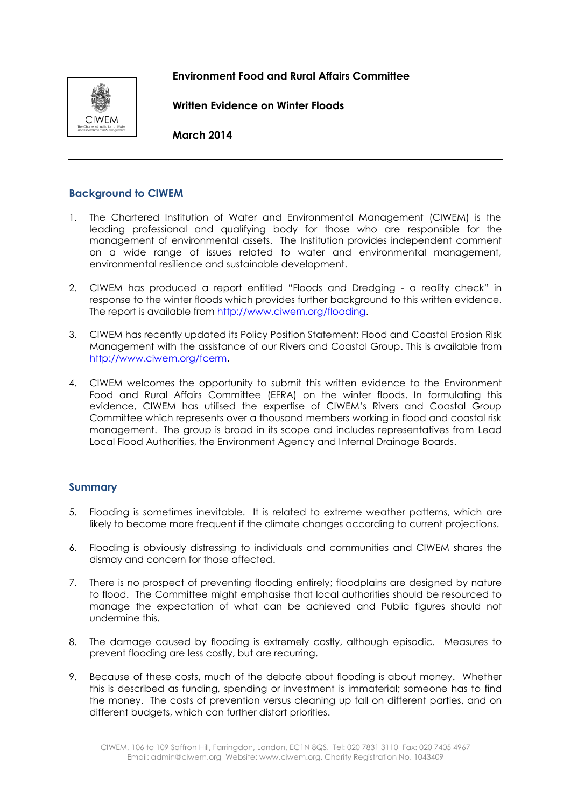# **Environment Food and Rural Affairs Committee**



**Written Evidence on Winter Floods** 

**March 2014**

# **Background to CIWEM**

- 1. The Chartered Institution of Water and Environmental Management (CIWEM) is the leading professional and qualifying body for those who are responsible for the management of environmental assets. The Institution provides independent comment on a wide range of issues related to water and environmental management, environmental resilience and sustainable development.
- 2. CIWEM has produced a report entitled "Floods and Dredging a reality check" in response to the winter floods which provides further background to this written evidence. The report is available from [http://www.ciwem.org/flooding.](http://www.ciwem.org/flooding)
- 3. CIWEM has recently updated its Policy Position Statement: Flood and Coastal Erosion Risk Management with the assistance of our Rivers and Coastal Group. This is available from <http://www.ciwem.org/fcerm>.
- 4. CIWEM welcomes the opportunity to submit this written evidence to the Environment Food and Rural Affairs Committee (EFRA) on the winter floods. In formulating this evidence, CIWEM has utilised the expertise of CIWEM's Rivers and Coastal Group Committee which represents over a thousand members working in flood and coastal risk management. The group is broad in its scope and includes representatives from Lead Local Flood Authorities, the Environment Agency and Internal Drainage Boards.

## **Summary**

- 5. Flooding is sometimes inevitable. It is related to extreme weather patterns, which are likely to become more frequent if the climate changes according to current projections.
- 6. Flooding is obviously distressing to individuals and communities and CIWEM shares the dismay and concern for those affected.
- 7. There is no prospect of preventing flooding entirely; floodplains are designed by nature to flood. The Committee might emphasise that local authorities should be resourced to manage the expectation of what can be achieved and Public figures should not undermine this.
- 8. The damage caused by flooding is extremely costly, although episodic. Measures to prevent flooding are less costly, but are recurring.
- 9. Because of these costs, much of the debate about flooding is about money. Whether this is described as funding, spending or investment is immaterial; someone has to find the money. The costs of prevention versus cleaning up fall on different parties, and on different budgets, which can further distort priorities.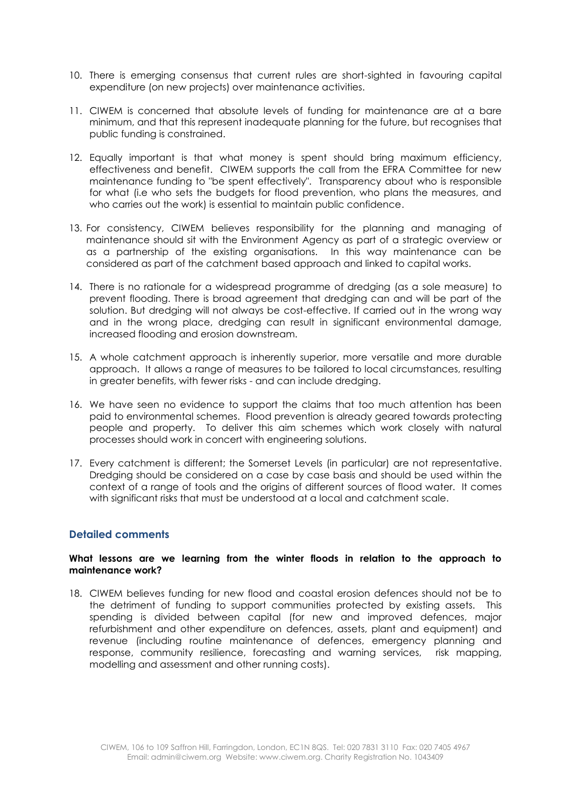- 10. There is emerging consensus that current rules are short-sighted in favouring capital expenditure (on new projects) over maintenance activities.
- 11. CIWEM is concerned that absolute levels of funding for maintenance are at a bare minimum, and that this represent inadequate planning for the future, but recognises that public funding is constrained.
- 12. Equally important is that what money is spent should bring maximum efficiency, effectiveness and benefit. CIWEM supports the call from the EFRA Committee for new maintenance funding to "be spent effectively". Transparency about who is responsible for what (i.e who sets the budgets for flood prevention, who plans the measures, and who carries out the work) is essential to maintain public confidence.
- 13. For consistency, CIWEM believes responsibility for the planning and managing of maintenance should sit with the Environment Agency as part of a strategic overview or as a partnership of the existing organisations. In this way maintenance can be considered as part of the catchment based approach and linked to capital works.
- 14. There is no rationale for a widespread programme of dredging (as a sole measure) to prevent flooding. There is broad agreement that dredging can and will be part of the solution. But dredging will not always be cost-effective. If carried out in the wrong way and in the wrong place, dredging can result in significant environmental damage, increased flooding and erosion downstream.
- 15. A whole catchment approach is inherently superior, more versatile and more durable approach. It allows a range of measures to be tailored to local circumstances, resulting in greater benefits, with fewer risks - and can include dredging.
- 16. We have seen no evidence to support the claims that too much attention has been paid to environmental schemes. Flood prevention is already geared towards protecting people and property. To deliver this aim schemes which work closely with natural processes should work in concert with engineering solutions.
- 17. Every catchment is different; the Somerset Levels (in particular) are not representative. Dredging should be considered on a case by case basis and should be used within the context of a range of tools and the origins of different sources of flood water. It comes with significant risks that must be understood at a local and catchment scale.

## **Detailed comments**

#### **What lessons are we learning from the winter floods in relation to the approach to maintenance work?**

18. CIWEM believes funding for new flood and coastal erosion defences should not be to the detriment of funding to support communities protected by existing assets. This spending is divided between capital (for new and improved defences, major refurbishment and other expenditure on defences, assets, plant and equipment) and revenue (including routine maintenance of defences, emergency planning and response, community resilience, forecasting and warning services, risk mapping, modelling and assessment and other running costs).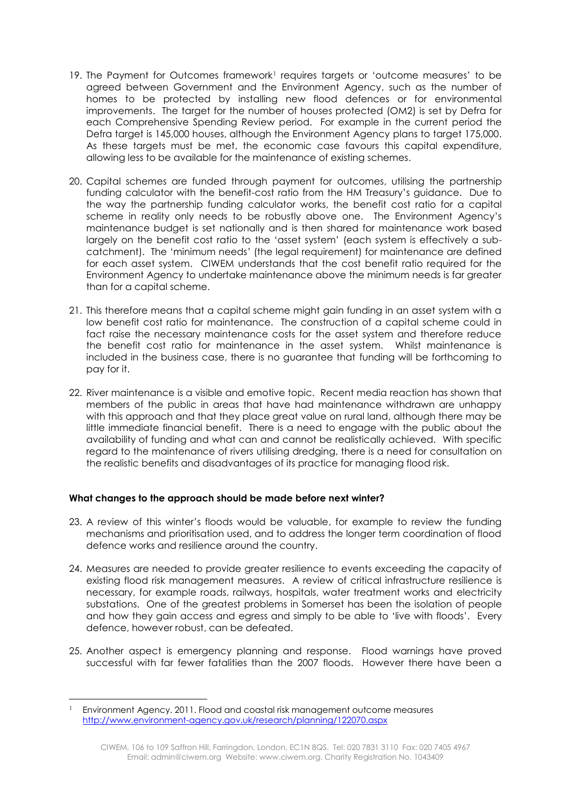- 19. The Payment for Outcomes framework<sup>1</sup> requires targets or 'outcome measures' to be agreed between Government and the Environment Agency, such as the number of homes to be protected by installing new flood defences or for environmental improvements. The target for the number of houses protected (OM2) is set by Defra for each Comprehensive Spending Review period. For example in the current period the Defra target is 145,000 houses, although the Environment Agency plans to target 175,000. As these targets must be met, the economic case favours this capital expenditure, allowing less to be available for the maintenance of existing schemes.
- 20. Capital schemes are funded through payment for outcomes, utilising the partnership funding calculator with the benefit-cost ratio from the HM Treasury's guidance. Due to the way the partnership funding calculator works, the benefit cost ratio for a capital scheme in reality only needs to be robustly above one. The Environment Agency's maintenance budget is set nationally and is then shared for maintenance work based largely on the benefit cost ratio to the 'asset system' (each system is effectively a subcatchment). The 'minimum needs' (the legal requirement) for maintenance are defined for each asset system. CIWEM understands that the cost benefit ratio required for the Environment Agency to undertake maintenance above the minimum needs is far greater than for a capital scheme.
- 21. This therefore means that a capital scheme might gain funding in an asset system with a low benefit cost ratio for maintenance. The construction of a capital scheme could in fact raise the necessary maintenance costs for the asset system and therefore reduce the benefit cost ratio for maintenance in the asset system. Whilst maintenance is included in the business case, there is no guarantee that funding will be forthcoming to pay for it.
- 22. River maintenance is a visible and emotive topic. Recent media reaction has shown that members of the public in areas that have had maintenance withdrawn are unhappy with this approach and that they place great value on rural land, although there may be little immediate financial benefit. There is a need to engage with the public about the availability of funding and what can and cannot be realistically achieved. With specific regard to the maintenance of rivers utilising dredging, there is a need for consultation on the realistic benefits and disadvantages of its practice for managing flood risk.

## **What changes to the approach should be made before next winter?**

- 23. A review of this winter's floods would be valuable, for example to review the funding mechanisms and prioritisation used, and to address the longer term coordination of flood defence works and resilience around the country.
- 24. Measures are needed to provide greater resilience to events exceeding the capacity of existing flood risk management measures. A review of critical infrastructure resilience is necessary, for example roads, railways, hospitals, water treatment works and electricity substations. One of the greatest problems in Somerset has been the isolation of people and how they gain access and egress and simply to be able to 'live with floods'. Every defence, however robust, can be defeated.
- 25. Another aspect is emergency planning and response. Flood warnings have proved successful with far fewer fatalities than the 2007 floods. However there have been a

**.** 

<sup>1</sup> Environment Agency. 2011. Flood and coastal risk management outcome measures <http://www.environment-agency.gov.uk/research/planning/122070.aspx>

CIWEM, 106 to 109 Saffron Hill, Farringdon, London, EC1N 8QS. Tel: 020 7831 3110 Fax: 020 7405 4967 Email: admin@ciwem.org Website: www.ciwem.org. Charity Registration No. 1043409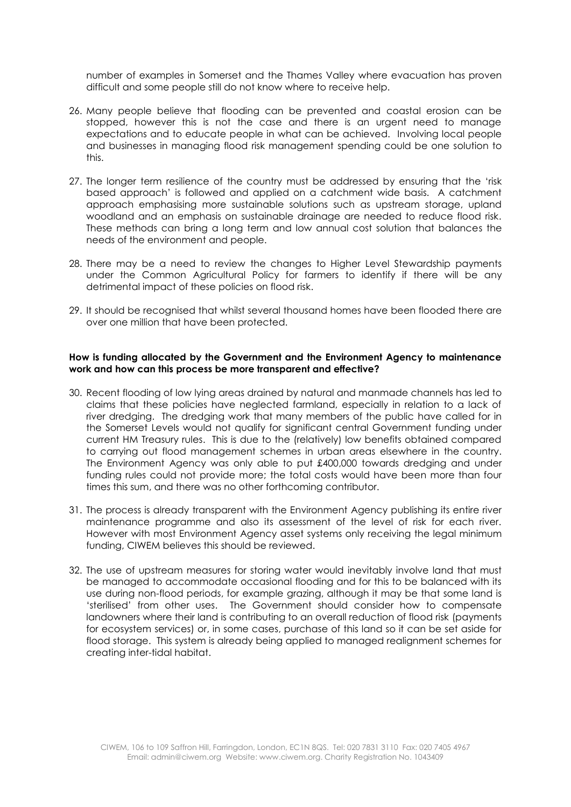number of examples in Somerset and the Thames Valley where evacuation has proven difficult and some people still do not know where to receive help.

- 26. Many people believe that flooding can be prevented and coastal erosion can be stopped, however this is not the case and there is an urgent need to manage expectations and to educate people in what can be achieved. Involving local people and businesses in managing flood risk management spending could be one solution to this.
- 27. The longer term resilience of the country must be addressed by ensuring that the 'risk based approach' is followed and applied on a catchment wide basis. A catchment approach emphasising more sustainable solutions such as upstream storage, upland woodland and an emphasis on sustainable drainage are needed to reduce flood risk. These methods can bring a long term and low annual cost solution that balances the needs of the environment and people.
- 28. There may be a need to review the changes to Higher Level Stewardship payments under the Common Agricultural Policy for farmers to identify if there will be any detrimental impact of these policies on flood risk.
- 29. It should be recognised that whilst several thousand homes have been flooded there are over one million that have been protected.

### **How is funding allocated by the Government and the Environment Agency to maintenance work and how can this process be more transparent and effective?**

- 30. Recent flooding of low lying areas drained by natural and manmade channels has led to claims that these policies have neglected farmland, especially in relation to a lack of river dredging. The dredging work that many members of the public have called for in the Somerset Levels would not qualify for significant central Government funding under current HM Treasury rules. This is due to the (relatively) low benefits obtained compared to carrying out flood management schemes in urban areas elsewhere in the country. The Environment Agency was only able to put £400,000 towards dredging and under funding rules could not provide more; the total costs would have been more than four times this sum, and there was no other forthcoming contributor.
- 31. The process is already transparent with the Environment Agency publishing its entire river maintenance programme and also its assessment of the level of risk for each river. However with most Environment Agency asset systems only receiving the legal minimum funding, CIWEM believes this should be reviewed.
- 32. The use of upstream measures for storing water would inevitably involve land that must be managed to accommodate occasional flooding and for this to be balanced with its use during non-flood periods, for example grazing, although it may be that some land is 'sterilised' from other uses. The Government should consider how to compensate landowners where their land is contributing to an overall reduction of flood risk (payments for ecosystem services) or, in some cases, purchase of this land so it can be set aside for flood storage. This system is already being applied to managed realignment schemes for creating inter-tidal habitat.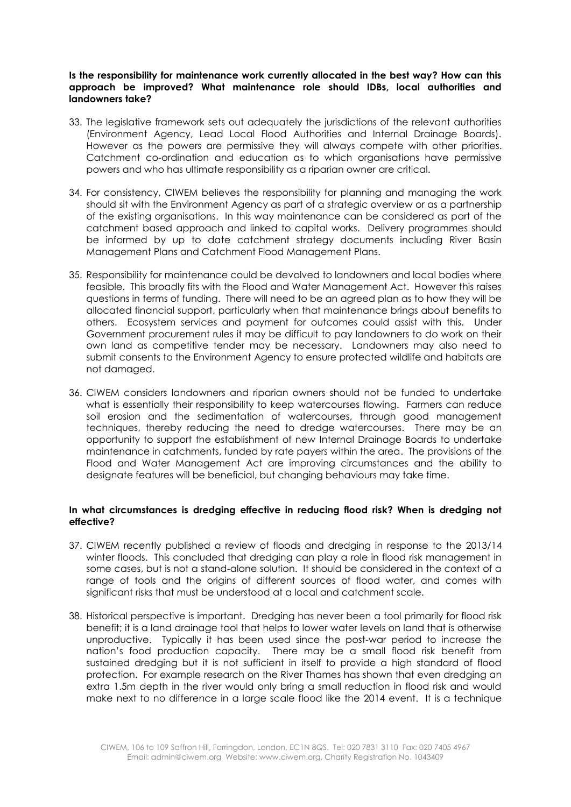### **Is the responsibility for maintenance work currently allocated in the best way? How can this approach be improved? What maintenance role should IDBs, local authorities and landowners take?**

- 33. The legislative framework sets out adequately the jurisdictions of the relevant authorities (Environment Agency, Lead Local Flood Authorities and Internal Drainage Boards). However as the powers are permissive they will always compete with other priorities. Catchment co-ordination and education as to which organisations have permissive powers and who has ultimate responsibility as a riparian owner are critical.
- 34. For consistency, CIWEM believes the responsibility for planning and managing the work should sit with the Environment Agency as part of a strategic overview or as a partnership of the existing organisations. In this way maintenance can be considered as part of the catchment based approach and linked to capital works. Delivery programmes should be informed by up to date catchment strategy documents including River Basin Management Plans and Catchment Flood Management Plans.
- 35. Responsibility for maintenance could be devolved to landowners and local bodies where feasible. This broadly fits with the Flood and Water Management Act. However this raises questions in terms of funding. There will need to be an agreed plan as to how they will be allocated financial support, particularly when that maintenance brings about benefits to others. Ecosystem services and payment for outcomes could assist with this. Under Government procurement rules it may be difficult to pay landowners to do work on their own land as competitive tender may be necessary. Landowners may also need to submit consents to the Environment Agency to ensure protected wildlife and habitats are not damaged.
- 36. CIWEM considers landowners and riparian owners should not be funded to undertake what is essentially their responsibility to keep watercourses flowing. Farmers can reduce soil erosion and the sedimentation of watercourses, through good management techniques, thereby reducing the need to dredge watercourses. There may be an opportunity to support the establishment of new Internal Drainage Boards to undertake maintenance in catchments, funded by rate payers within the area. The provisions of the Flood and Water Management Act are improving circumstances and the ability to designate features will be beneficial, but changing behaviours may take time.

## **In what circumstances is dredging effective in reducing flood risk? When is dredging not effective?**

- 37. CIWEM recently published a review of floods and dredging in response to the 2013/14 winter floods. This concluded that dredging can play a role in flood risk management in some cases, but is not a stand-alone solution. It should be considered in the context of a range of tools and the origins of different sources of flood water, and comes with significant risks that must be understood at a local and catchment scale.
- 38. Historical perspective is important. Dredging has never been a tool primarily for flood risk benefit; it is a land drainage tool that helps to lower water levels on land that is otherwise unproductive. Typically it has been used since the post-war period to increase the nation's food production capacity. There may be a small flood risk benefit from sustained dredging but it is not sufficient in itself to provide a high standard of flood protection. For example research on the River Thames has shown that even dredging an extra 1.5m depth in the river would only bring a small reduction in flood risk and would make next to no difference in a large scale flood like the 2014 event. It is a technique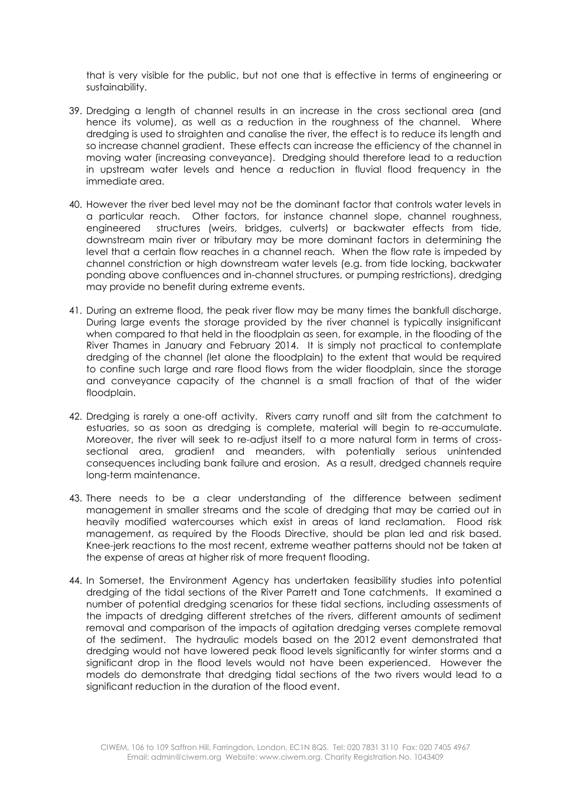that is very visible for the public, but not one that is effective in terms of engineering or sustainability.

- 39. Dredging a length of channel results in an increase in the cross sectional area (and hence its volume), as well as a reduction in the roughness of the channel. Where dredging is used to straighten and canalise the river, the effect is to reduce its length and so increase channel gradient. These effects can increase the efficiency of the channel in moving water (increasing conveyance). Dredging should therefore lead to a reduction in upstream water levels and hence a reduction in fluvial flood frequency in the immediate area.
- 40. However the river bed level may not be the dominant factor that controls water levels in a particular reach. Other factors, for instance channel slope, channel roughness, engineered structures (weirs, bridges, culverts) or backwater effects from tide, downstream main river or tributary may be more dominant factors in determining the level that a certain flow reaches in a channel reach. When the flow rate is impeded by channel constriction or high downstream water levels (e.g. from tide locking, backwater ponding above confluences and in-channel structures, or pumping restrictions), dredging may provide no benefit during extreme events.
- 41. During an extreme flood, the peak river flow may be many times the bankfull discharge. During large events the storage provided by the river channel is typically insignificant when compared to that held in the floodplain as seen, for example, in the flooding of the River Thames in January and February 2014. It is simply not practical to contemplate dredging of the channel (let alone the floodplain) to the extent that would be required to confine such large and rare flood flows from the wider floodplain, since the storage and conveyance capacity of the channel is a small fraction of that of the wider floodplain.
- 42. Dredging is rarely a one-off activity. Rivers carry runoff and silt from the catchment to estuaries, so as soon as dredging is complete, material will begin to re-accumulate. Moreover, the river will seek to re-adjust itself to a more natural form in terms of crosssectional area, gradient and meanders, with potentially serious unintended consequences including bank failure and erosion. As a result, dredged channels require long-term maintenance.
- 43. There needs to be a clear understanding of the difference between sediment management in smaller streams and the scale of dredging that may be carried out in heavily modified watercourses which exist in areas of land reclamation. Flood risk management, as required by the Floods Directive, should be plan led and risk based. Knee-jerk reactions to the most recent, extreme weather patterns should not be taken at the expense of areas at higher risk of more frequent flooding.
- 44. In Somerset, the Environment Agency has undertaken feasibility studies into potential dredging of the tidal sections of the River Parrett and Tone catchments. It examined a number of potential dredging scenarios for these tidal sections, including assessments of the impacts of dredging different stretches of the rivers, different amounts of sediment removal and comparison of the impacts of agitation dredging verses complete removal of the sediment. The hydraulic models based on the 2012 event demonstrated that dredging would not have lowered peak flood levels significantly for winter storms and a significant drop in the flood levels would not have been experienced. However the models do demonstrate that dredging tidal sections of the two rivers would lead to a significant reduction in the duration of the flood event.